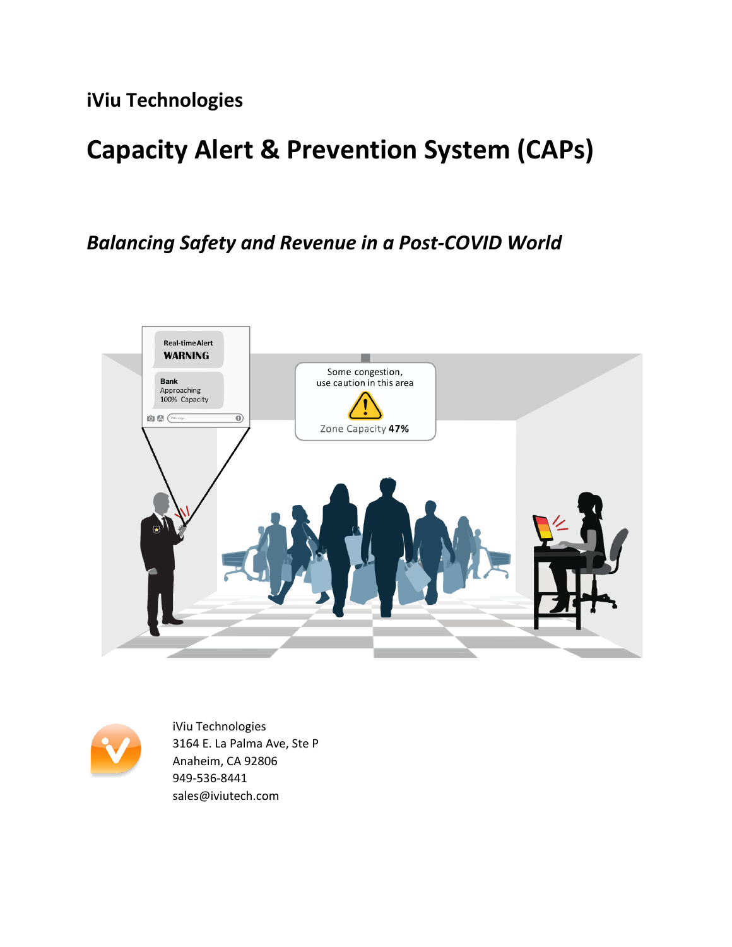**iViu Technologies**

# **Capacity Alert & Prevention System (CAPs)**

# *Balancing Safety and Revenue in a Post-COVID World*





iViu Technologies 3164 E. La Palma Ave, Ste P Anaheim, CA 92806 949-536-8441 sales@iviutech.com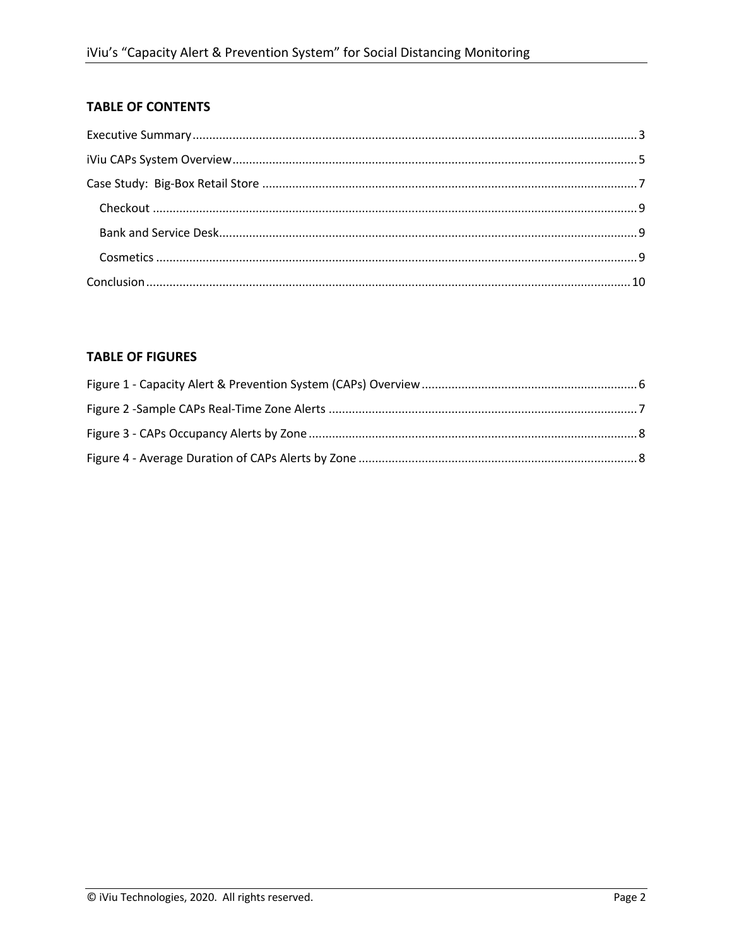#### **TABLE OF CONTENTS**

#### **TABLE OF FIGURES**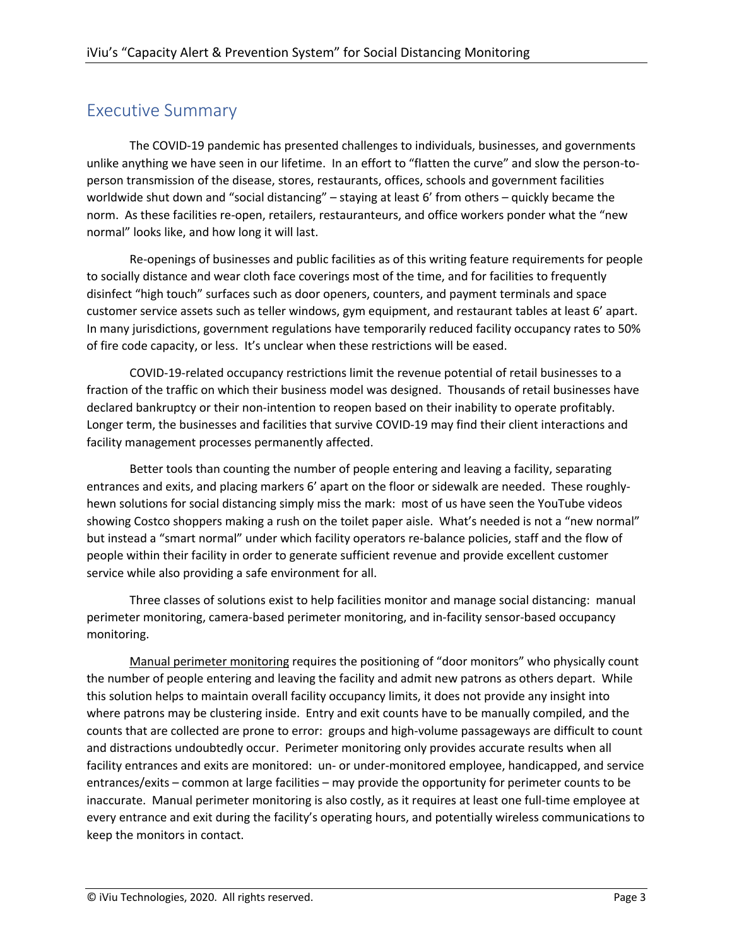# Executive Summary

The COVID-19 pandemic has presented challenges to individuals, businesses, and governments unlike anything we have seen in our lifetime. In an effort to "flatten the curve" and slow the person-toperson transmission of the disease, stores, restaurants, offices, schools and government facilities worldwide shut down and "social distancing" – staying at least 6' from others – quickly became the norm. As these facilities re-open, retailers, restauranteurs, and office workers ponder what the "new normal" looks like, and how long it will last.

Re-openings of businesses and public facilities as of this writing feature requirements for people to socially distance and wear cloth face coverings most of the time, and for facilities to frequently disinfect "high touch" surfaces such as door openers, counters, and payment terminals and space customer service assets such as teller windows, gym equipment, and restaurant tables at least 6' apart. In many jurisdictions, government regulations have temporarily reduced facility occupancy rates to 50% of fire code capacity, or less. It's unclear when these restrictions will be eased.

COVID-19-related occupancy restrictions limit the revenue potential of retail businesses to a fraction of the traffic on which their business model was designed. Thousands of retail businesses have declared bankruptcy or their non-intention to reopen based on their inability to operate profitably. Longer term, the businesses and facilities that survive COVID-19 may find their client interactions and facility management processes permanently affected.

Better tools than counting the number of people entering and leaving a facility, separating entrances and exits, and placing markers 6' apart on the floor or sidewalk are needed. These roughlyhewn solutions for social distancing simply miss the mark: most of us have seen the YouTube videos showing Costco shoppers making a rush on the toilet paper aisle. What's needed is not a "new normal" but instead a "smart normal" under which facility operators re-balance policies, staff and the flow of people within their facility in order to generate sufficient revenue and provide excellent customer service while also providing a safe environment for all.

Three classes of solutions exist to help facilities monitor and manage social distancing: manual perimeter monitoring, camera-based perimeter monitoring, and in-facility sensor-based occupancy monitoring.

Manual perimeter monitoring requires the positioning of "door monitors" who physically count the number of people entering and leaving the facility and admit new patrons as others depart. While this solution helps to maintain overall facility occupancy limits, it does not provide any insight into where patrons may be clustering inside. Entry and exit counts have to be manually compiled, and the counts that are collected are prone to error: groups and high-volume passageways are difficult to count and distractions undoubtedly occur. Perimeter monitoring only provides accurate results when all facility entrances and exits are monitored: un- or under-monitored employee, handicapped, and service entrances/exits – common at large facilities – may provide the opportunity for perimeter counts to be inaccurate. Manual perimeter monitoring is also costly, as it requires at least one full-time employee at every entrance and exit during the facility's operating hours, and potentially wireless communications to keep the monitors in contact.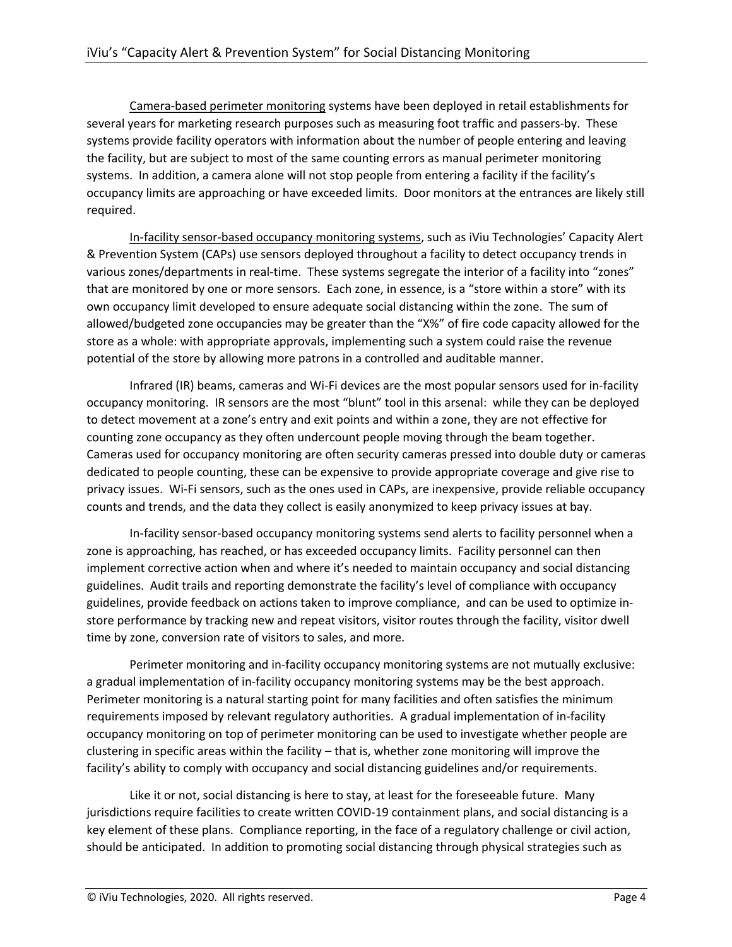Camera-based perimeter monitoring systems have been deployed in retail establishments for several years for marketing research purposes such as measuring foot traffic and passers-by. These systems provide facility operators with information about the number of people entering and leaving the facility, but are subject to most of the same counting errors as manual perimeter monitoring systems. In addition, a camera alone will not stop people from entering a facility if the facility's occupancy limits are approaching or have exceeded limits. Door monitors at the entrances are likely still required.

In-facility sensor-based occupancy monitoring systems, such as iViu Technologies' Capacity Alert & Prevention System (CAPs) use sensors deployed throughout a facility to detect occupancy trends in various zones/departments in real-time. These systems segregate the interior of a facility into "zones" that are monitored by one or more sensors. Each zone, in essence, is a "store within a store" with its own occupancy limit developed to ensure adequate social distancing within the zone. The sum of allowed/budgeted zone occupancies may be greater than the "X%" of fire code capacity allowed for the store as a whole: with appropriate approvals, implementing such a system could raise the revenue potential of the store by allowing more patrons in a controlled and auditable manner.

Infrared (IR) beams, cameras and Wi-Fi devices are the most popular sensors used for in-facility occupancy monitoring. IR sensors are the most "blunt" tool in this arsenal: while they can be deployed to detect movement at a zone's entry and exit points and within a zone, they are not effective for counting zone occupancy as they often undercount people moving through the beam together. Cameras used for occupancy monitoring are often security cameras pressed into double duty or cameras dedicated to people counting, these can be expensive to provide appropriate coverage and give rise to privacy issues. Wi-Fi sensors, such as the ones used in CAPs, are inexpensive, provide reliable occupancy counts and trends, and the data they collect is easily anonymized to keep privacy issues at bay.

In-facility sensor-based occupancy monitoring systems send alerts to facility personnel when a zone is approaching, has reached, or has exceeded occupancy limits. Facility personnel can then implement corrective action when and where it's needed to maintain occupancy and social distancing guidelines. Audit trails and reporting demonstrate the facility's level of compliance with occupancy guidelines, provide feedback on actions taken to improve compliance, and can be used to optimize instore performance by tracking new and repeat visitors, visitor routes through the facility, visitor dwell time by zone, conversion rate of visitors to sales, and more.

Perimeter monitoring and in-facility occupancy monitoring systems are not mutually exclusive: a gradual implementation of in-facility occupancy monitoring systems may be the best approach. Perimeter monitoring is a natural starting point for many facilities and often satisfies the minimum requirements imposed by relevant regulatory authorities. A gradual implementation of in-facility occupancy monitoring on top of perimeter monitoring can be used to investigate whether people are clustering in specific areas within the facility – that is, whether zone monitoring will improve the facility's ability to comply with occupancy and social distancing guidelines and/or requirements.

Like it or not, social distancing is here to stay, at least for the foreseeable future. Many jurisdictions require facilities to create written COVID-19 containment plans, and social distancing is a key element of these plans. Compliance reporting, in the face of a regulatory challenge or civil action, should be anticipated. In addition to promoting social distancing through physical strategies such as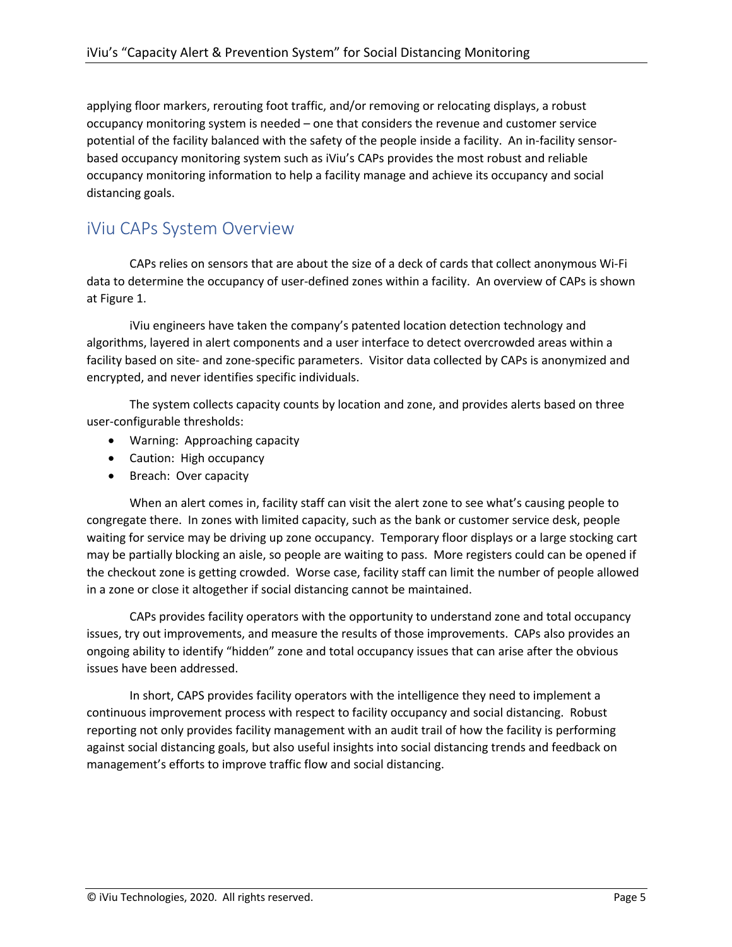applying floor markers, rerouting foot traffic, and/or removing or relocating displays, a robust occupancy monitoring system is needed – one that considers the revenue and customer service potential of the facility balanced with the safety of the people inside a facility. An in-facility sensorbased occupancy monitoring system such as iViu's CAPs provides the most robust and reliable occupancy monitoring information to help a facility manage and achieve its occupancy and social distancing goals.

# iViu CAPs System Overview

CAPs relies on sensors that are about the size of a deck of cards that collect anonymous Wi-Fi data to determine the occupancy of user-defined zones within a facility. An overview of CAPs is shown at Figure 1.

iViu engineers have taken the company's patented location detection technology and algorithms, layered in alert components and a user interface to detect overcrowded areas within a facility based on site- and zone-specific parameters. Visitor data collected by CAPs is anonymized and encrypted, and never identifies specific individuals.

The system collects capacity counts by location and zone, and provides alerts based on three user-configurable thresholds:

- Warning: Approaching capacity
- Caution: High occupancy
- Breach: Over capacity

When an alert comes in, facility staff can visit the alert zone to see what's causing people to congregate there. In zones with limited capacity, such as the bank or customer service desk, people waiting for service may be driving up zone occupancy. Temporary floor displays or a large stocking cart may be partially blocking an aisle, so people are waiting to pass. More registers could can be opened if the checkout zone is getting crowded. Worse case, facility staff can limit the number of people allowed in a zone or close it altogether if social distancing cannot be maintained.

CAPs provides facility operators with the opportunity to understand zone and total occupancy issues, try out improvements, and measure the results of those improvements. CAPs also provides an ongoing ability to identify "hidden" zone and total occupancy issues that can arise after the obvious issues have been addressed.

In short, CAPS provides facility operators with the intelligence they need to implement a continuous improvement process with respect to facility occupancy and social distancing. Robust reporting not only provides facility management with an audit trail of how the facility is performing against social distancing goals, but also useful insights into social distancing trends and feedback on management's efforts to improve traffic flow and social distancing.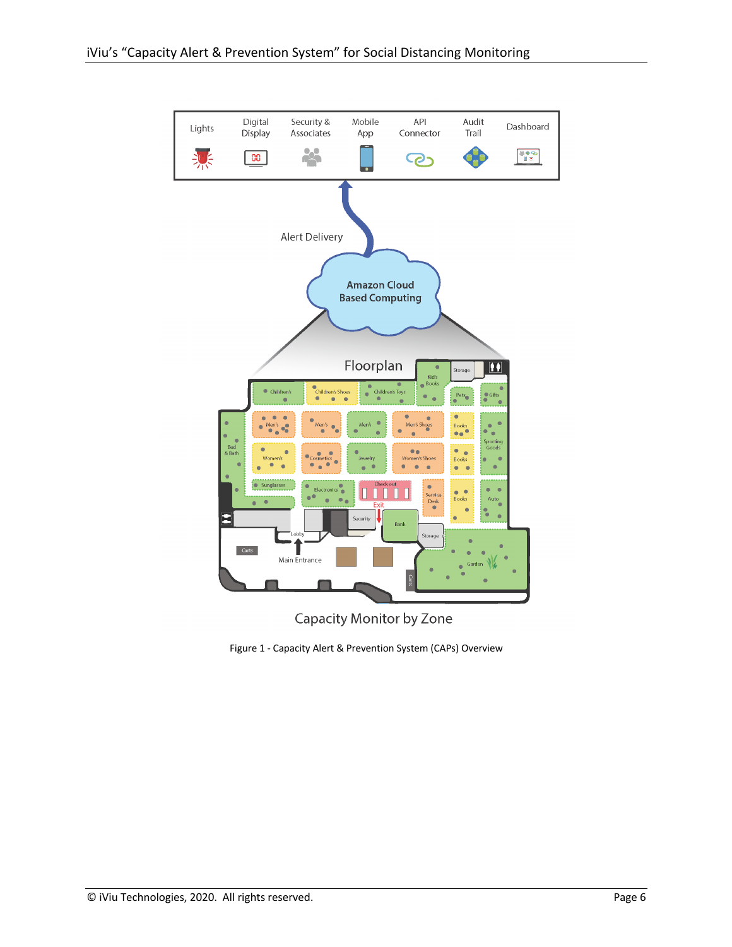

**Capacity Monitor by Zone** 

Figure 1 - Capacity Alert & Prevention System (CAPs) Overview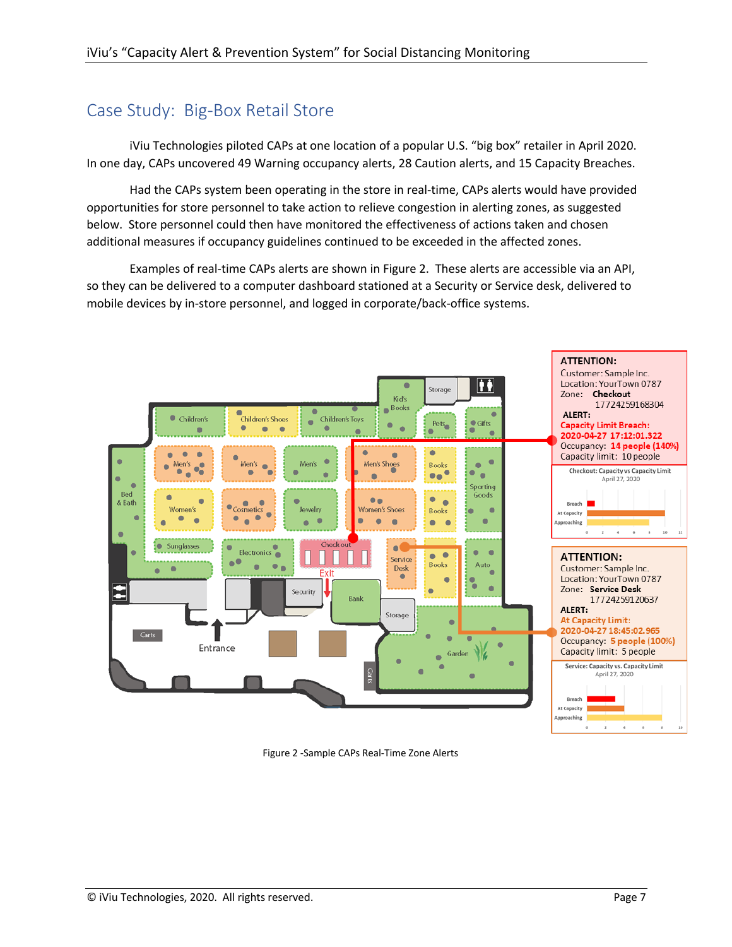# Case Study: Big-Box Retail Store

iViu Technologies piloted CAPs at one location of a popular U.S. "big box" retailer in April 2020. In one day, CAPs uncovered 49 Warning occupancy alerts, 28 Caution alerts, and 15 Capacity Breaches.

Had the CAPs system been operating in the store in real-time, CAPs alerts would have provided opportunities for store personnel to take action to relieve congestion in alerting zones, as suggested below. Store personnel could then have monitored the effectiveness of actions taken and chosen additional measures if occupancy guidelines continued to be exceeded in the affected zones.

Examples of real-time CAPs alerts are shown in Figure 2. These alerts are accessible via an API, so they can be delivered to a computer dashboard stationed at a Security or Service desk, delivered to mobile devices by in-store personnel, and logged in corporate/back-office systems.



Figure 2 -Sample CAPs Real-Time Zone Alerts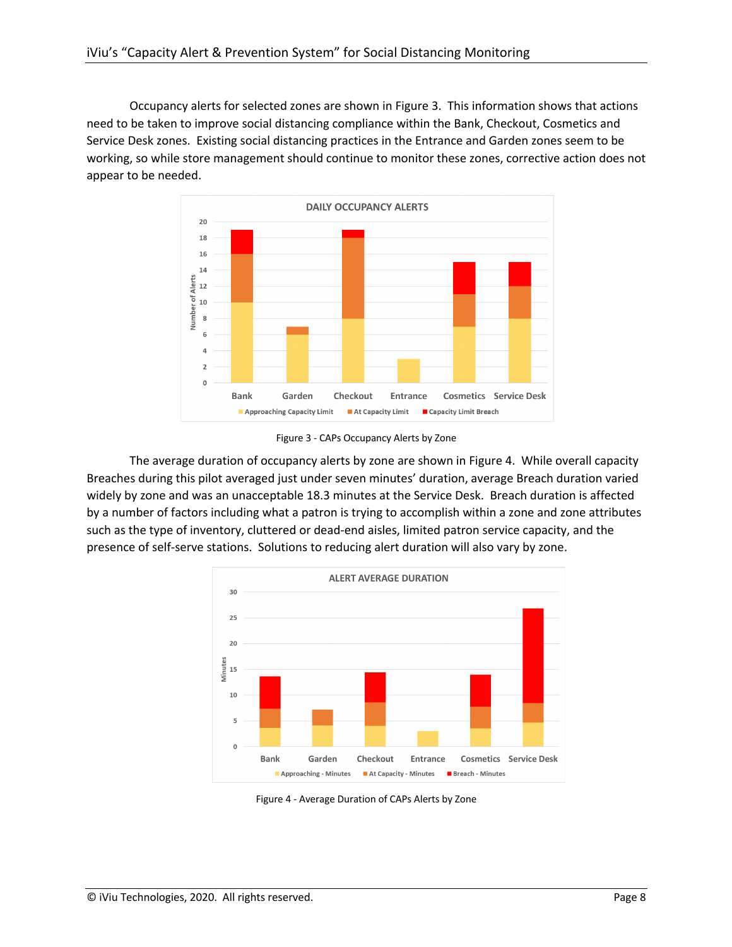Occupancy alerts for selected zones are shown in Figure 3. This information shows that actions need to be taken to improve social distancing compliance within the Bank, Checkout, Cosmetics and Service Desk zones. Existing social distancing practices in the Entrance and Garden zones seem to be working, so while store management should continue to monitor these zones, corrective action does not appear to be needed.



Figure 3 - CAPs Occupancy Alerts by Zone

The average duration of occupancy alerts by zone are shown in Figure 4. While overall capacity Breaches during this pilot averaged just under seven minutes' duration, average Breach duration varied widely by zone and was an unacceptable 18.3 minutes at the Service Desk. Breach duration is affected by a number of factors including what a patron is trying to accomplish within a zone and zone attributes such as the type of inventory, cluttered or dead-end aisles, limited patron service capacity, and the presence of self-serve stations. Solutions to reducing alert duration will also vary by zone.



Figure 4 - Average Duration of CAPs Alerts by Zone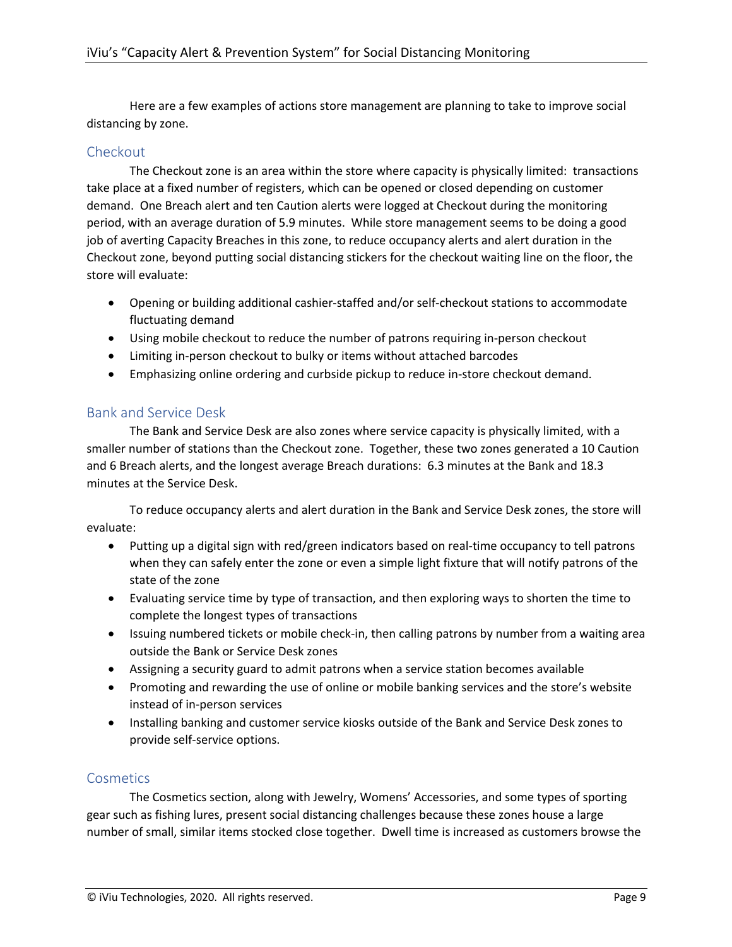Here are a few examples of actions store management are planning to take to improve social distancing by zone.

#### **Checkout**

The Checkout zone is an area within the store where capacity is physically limited: transactions take place at a fixed number of registers, which can be opened or closed depending on customer demand. One Breach alert and ten Caution alerts were logged at Checkout during the monitoring period, with an average duration of 5.9 minutes. While store management seems to be doing a good job of averting Capacity Breaches in this zone, to reduce occupancy alerts and alert duration in the Checkout zone, beyond putting social distancing stickers for the checkout waiting line on the floor, the store will evaluate:

- Opening or building additional cashier-staffed and/or self-checkout stations to accommodate fluctuating demand
- Using mobile checkout to reduce the number of patrons requiring in-person checkout
- Limiting in-person checkout to bulky or items without attached barcodes
- Emphasizing online ordering and curbside pickup to reduce in-store checkout demand.

#### Bank and Service Desk

The Bank and Service Desk are also zones where service capacity is physically limited, with a smaller number of stations than the Checkout zone. Together, these two zones generated a 10 Caution and 6 Breach alerts, and the longest average Breach durations: 6.3 minutes at the Bank and 18.3 minutes at the Service Desk.

To reduce occupancy alerts and alert duration in the Bank and Service Desk zones, the store will evaluate:

- Putting up a digital sign with red/green indicators based on real-time occupancy to tell patrons when they can safely enter the zone or even a simple light fixture that will notify patrons of the state of the zone
- Evaluating service time by type of transaction, and then exploring ways to shorten the time to complete the longest types of transactions
- Issuing numbered tickets or mobile check-in, then calling patrons by number from a waiting area outside the Bank or Service Desk zones
- Assigning a security guard to admit patrons when a service station becomes available
- Promoting and rewarding the use of online or mobile banking services and the store's website instead of in-person services
- Installing banking and customer service kiosks outside of the Bank and Service Desk zones to provide self-service options.

#### **Cosmetics**

The Cosmetics section, along with Jewelry, Womens' Accessories, and some types of sporting gear such as fishing lures, present social distancing challenges because these zones house a large number of small, similar items stocked close together. Dwell time is increased as customers browse the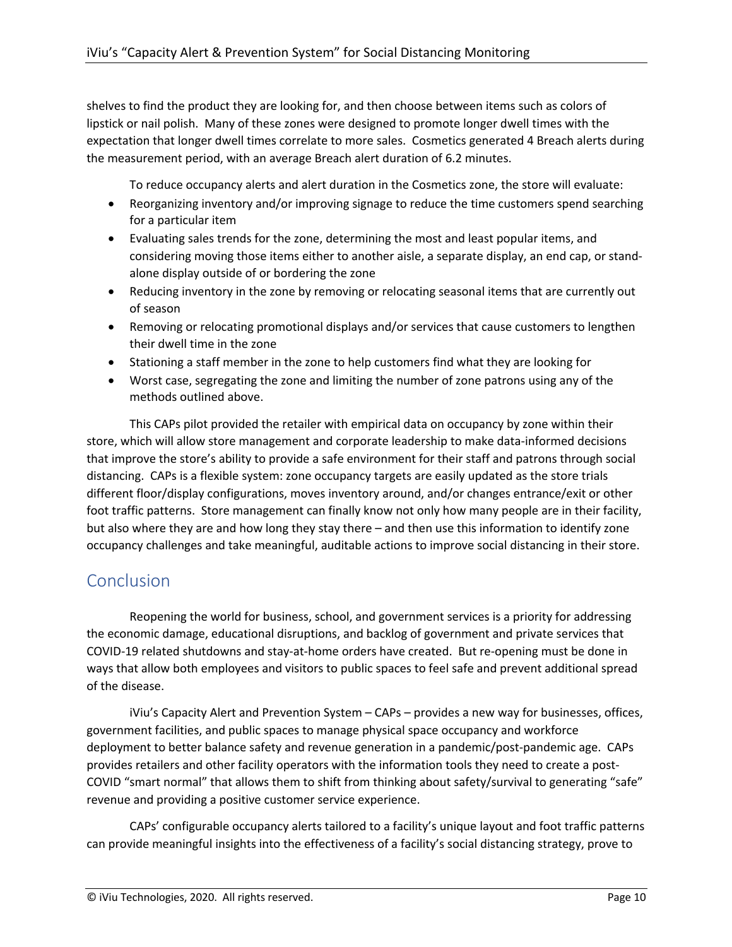shelves to find the product they are looking for, and then choose between items such as colors of lipstick or nail polish. Many of these zones were designed to promote longer dwell times with the expectation that longer dwell times correlate to more sales. Cosmetics generated 4 Breach alerts during the measurement period, with an average Breach alert duration of 6.2 minutes.

To reduce occupancy alerts and alert duration in the Cosmetics zone, the store will evaluate:

- Reorganizing inventory and/or improving signage to reduce the time customers spend searching for a particular item
- Evaluating sales trends for the zone, determining the most and least popular items, and considering moving those items either to another aisle, a separate display, an end cap, or standalone display outside of or bordering the zone
- Reducing inventory in the zone by removing or relocating seasonal items that are currently out of season
- Removing or relocating promotional displays and/or services that cause customers to lengthen their dwell time in the zone
- Stationing a staff member in the zone to help customers find what they are looking for
- Worst case, segregating the zone and limiting the number of zone patrons using any of the methods outlined above.

This CAPs pilot provided the retailer with empirical data on occupancy by zone within their store, which will allow store management and corporate leadership to make data-informed decisions that improve the store's ability to provide a safe environment for their staff and patrons through social distancing. CAPs is a flexible system: zone occupancy targets are easily updated as the store trials different floor/display configurations, moves inventory around, and/or changes entrance/exit or other foot traffic patterns. Store management can finally know not only how many people are in their facility, but also where they are and how long they stay there – and then use this information to identify zone occupancy challenges and take meaningful, auditable actions to improve social distancing in their store.

### **Conclusion**

Reopening the world for business, school, and government services is a priority for addressing the economic damage, educational disruptions, and backlog of government and private services that COVID-19 related shutdowns and stay-at-home orders have created. But re-opening must be done in ways that allow both employees and visitors to public spaces to feel safe and prevent additional spread of the disease.

iViu's Capacity Alert and Prevention System – CAPs – provides a new way for businesses, offices, government facilities, and public spaces to manage physical space occupancy and workforce deployment to better balance safety and revenue generation in a pandemic/post-pandemic age. CAPs provides retailers and other facility operators with the information tools they need to create a post-COVID "smart normal" that allows them to shift from thinking about safety/survival to generating "safe" revenue and providing a positive customer service experience.

CAPs' configurable occupancy alerts tailored to a facility's unique layout and foot traffic patterns can provide meaningful insights into the effectiveness of a facility's social distancing strategy, prove to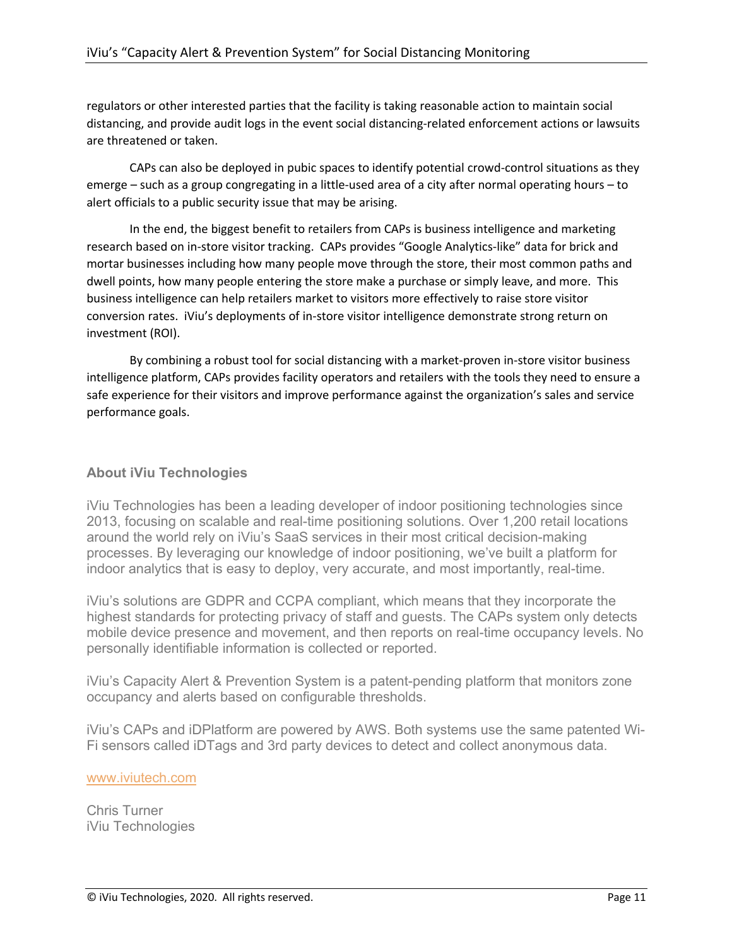regulators or other interested parties that the facility is taking reasonable action to maintain social distancing, and provide audit logs in the event social distancing-related enforcement actions or lawsuits are threatened or taken.

CAPs can also be deployed in pubic spaces to identify potential crowd-control situations as they emerge – such as a group congregating in a little-used area of a city after normal operating hours – to alert officials to a public security issue that may be arising.

In the end, the biggest benefit to retailers from CAPs is business intelligence and marketing research based on in-store visitor tracking. CAPs provides "Google Analytics-like" data for brick and mortar businesses including how many people move through the store, their most common paths and dwell points, how many people entering the store make a purchase or simply leave, and more. This business intelligence can help retailers market to visitors more effectively to raise store visitor conversion rates. iViu's deployments of in-store visitor intelligence demonstrate strong return on investment (ROI).

By combining a robust tool for social distancing with a market-proven in-store visitor business intelligence platform, CAPs provides facility operators and retailers with the tools they need to ensure a safe experience for their visitors and improve performance against the organization's sales and service performance goals.

#### **About iViu Technologies**

iViu Technologies has been a leading developer of indoor positioning technologies since 2013, focusing on scalable and real-time positioning solutions. Over 1,200 retail locations around the world rely on iViu's SaaS services in their most critical decision-making processes. By leveraging our knowledge of indoor positioning, we've built a platform for indoor analytics that is easy to deploy, very accurate, and most importantly, real-time.

iViu's solutions are GDPR and CCPA compliant, which means that they incorporate the highest standards for protecting privacy of staff and guests. The CAPs system only detects mobile device presence and movement, and then reports on real-time occupancy levels. No personally identifiable information is collected or reported.

iViu's Capacity Alert & Prevention System is a patent-pending platform that monitors zone occupancy and alerts based on configurable thresholds.

iViu's CAPs and iDPlatform are powered by AWS. Both systems use the same patented Wi-Fi sensors called iDTags and 3rd party devices to detect and collect anonymous data.

#### www.iviutech.com

Chris Turner iViu Technologies